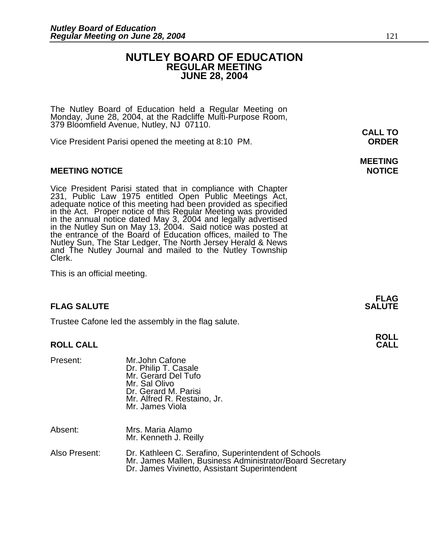### **NUTLEY BOARD OF EDUCATION REGULAR MEETING JUNE 28, 2004**

The Nutley Board of Education held a Regular Meeting on Monday, June 28, 2004, at the Radcliffe Multi-Purpose Room, 379 Bloomfield Avenue, Nutley, NJ 07110. **CALL TO** 

Vice President Parisi opened the meeting at 8:10 PM. **ORDER**

#### **MEETING NOTICE NOTICE AND INSTRUMENT IN A SET ON A SET ON A SET ON A SET ON A SET ON A SET ON A SET ON A SET O**

Vice President Parisi stated that in compliance with Chapter 231, Public Law 1975 entitled Open Public Meetings Act, adequate notice of this meeting had been provided as specified in the Act. Proper notice of this Regular Meeting was provided in the annual notice dated May 3, 2004 and legally advertised in the Nutley Sun on May 13, 2004. Said notice was posted at the entrance of the Board of Education offices, mailed to The Nutley Sun, The Star Ledger, The North Jersey Herald & News and The Nutley Journal and mailed to the Nutley Township Clerk.

This is an official meeting.

### **FLAG SALUTE** SALUTE SALUTE SALUTE SALUTE SALUTE SALUTE SALUTE SALUTE SALUTE SALUTE SALUTE SALUTE SALUTE SALUTE

Trustee Cafone led the assembly in the flag salute.

### **ROLL CALL**

| Present: | Mr.John Cafone<br>Dr. Philip T. Casale<br>Mr. Gerard Del Tufo<br>Mr. Sal Olivo<br>Dr. Gerard M. Parisi<br>Mr. Alfred R. Restaino, Jr.<br>Mr. James Viola |  |
|----------|----------------------------------------------------------------------------------------------------------------------------------------------------------|--|
| Absent:  | Mrs. Maria Alamo<br>Mr. Kenneth J. Reilly                                                                                                                |  |

| Also Present: | Dr. Kathleen C. Serafino, Superintendent of Schools      |
|---------------|----------------------------------------------------------|
|               | Mr. James Mallen, Business Administrator/Board Secretary |
|               | Dr. James Vivinetto, Assistant Superintendent            |

## **MEETING**

**FLAG** 

## **ROLL**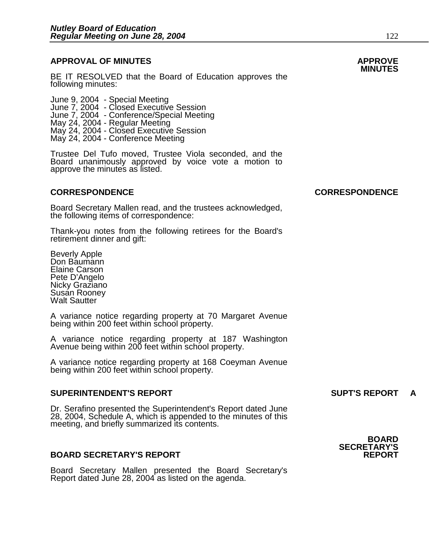### **APPROVAL OF MINUTES APPROVE**

**BE IT RESOLVED that the Board of Education approves the** following minutes:

 June 9, 2004 - Special Meeting June 7, 2004 - Closed Executive Session June 7, 2004 - Conference/Special Meeting May 24, 2004 - Regular Meeting May 24, 2004 - Closed Executive Session May 24, 2004 - Conference Meeting

> Trustee Del Tufo moved, Trustee Viola seconded, and the Board unanimously approved by voice vote a motion to approve the minutes as listed.

Board Secretary Mallen read, and the trustees acknowledged, the following items of correspondence:

Thank-you notes from the following retirees for the Board's retirement dinner and gift:

Beverly Apple Don Baumann Elaine Carson Pete D'Angelo Nicky Graziano Susan Rooney Walt Sautter

A variance notice regarding property at 70 Margaret Avenue being within 200 feet within school property.

A variance notice regarding property at 187 Washington Avenue being within 200 feet within school property.

A variance notice regarding property at 168 Coeyman Avenue being within 200 feet within school property.

#### **SUPERINTENDENT'S REPORT SUPT'S REPORT A**

Dr. Serafino presented the Superintendent's Report dated June 28, 2004, Schedule A, which is appended to the minutes of this meeting, and briefly summarized its contents.

#### **BOARD SECRETARY'S REPORT**

Board Secretary Mallen presented the Board Secretary's Report dated June 28, 2004 as listed on the agenda.



#### **CORRESPONDENCE CORRESPONDENCE**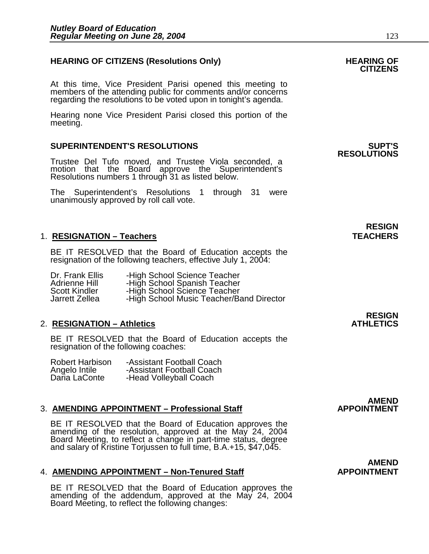### HEARING OF CITIZENS (Resolutions Only) HEARING OF<br>CITIZENS

At this time, Vice President Parisi opened this meeting to members of the attending public for comments and/or concerns regarding the resolutions to be voted upon in tonight's agenda.

Hearing none Vice President Parisi closed this portion of the meeting.

#### **SUPERINTENDENT'S RESOLUTIONS SUPT'S**

Trustee Del Tufo moved, and Trustee Viola seconded, a motion that the Board approve the Superintendent's Resolutions numbers 1 through 31 as listed below.

The Superintendent's Resolutions 1 through 31 were unanimously approved by roll call vote.

#### 1. RESIGNATION – Teachers **TEACHERS**

BE IT RESOLVED that the Board of Education accepts the resignation of the following teachers, effective July 1, 2004:

| Dr. Frank Ellis      | -High School Science Teacher             |
|----------------------|------------------------------------------|
| Adrienne Hill        | -High School Spanish Teacher             |
| <b>Scott Kindler</b> | -High School Science Teacher             |
| Jarrett Zellea       | -High School Music Teacher/Band Director |

#### **2. RESIGNATION – Athletics**

BE IT RESOLVED that the Board of Education accepts the resignation of the following coaches:

| Robert Harbison | -Assistant Football Coach |
|-----------------|---------------------------|
| Angelo Intile   | -Assistant Football Coach |
| Daria LaConte   | -Head Volleyball Coach    |

#### 3. **AMENDING APPOINTMENT - Professional Staff**

BE IT RESOLVED that the Board of Education approves the amending of the resolution, approved at the May 24, 2004 Board Meeting, to reflect a change in part-time status, degree and salary of Kristine Torjussen to full time, B.A.+15, \$47,045.

#### 4. **AMENDING APPOINTMENT – Non-Tenured Staff Cases APPOINTMENT**

BE IT RESOLVED that the Board of Education approves the amending of the addendum, approved at the May 24, 2004 Board Meeting, to reflect the following changes:

## **RESOLUTIONS**

## **RESIGN**

### **RESIGN<br>ATHLETICS**

### AMEND<br>APPOINTMENT

## **AMEND**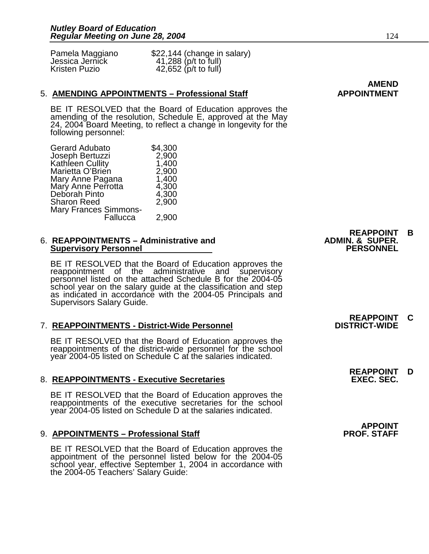Jessica Jernick 41,288 (p/t to full)<br>Kristen Puzio 42,652 (p/t to full)

Pamela Maggiano  $$22,144$  (change in salary)<br>Jessica Jernick (41.288 (p/t to full)  $42,652$  (p/t to full)

#### 5. **AMENDING APPOINTMENTS – Professional Staff APPOINTMENT**

BE IT RESOLVED that the Board of Education approves the amending of the resolution, Schedule E, approved at the May 24, 2004 Board Meeting, to reflect a change in longevity for the following personnel:

| <b>Gerard Adubato</b>        | \$4,300 |
|------------------------------|---------|
| Joseph Bertuzzi              | 2,900   |
| Kathleen Cullity             | 1,400   |
| Marietta O'Brien             | 2,900   |
| Mary Anne Pagana             | 1,400   |
| Mary Anne Perrotta           | 4,300   |
| Deborah Pinto                | 4,300   |
| <b>Sharon Reed</b>           | 2,900   |
| <b>Mary Frances Simmons-</b> |         |
| Fallucca                     | 2,900   |

#### 6. **REAPPOINTMENTS – Administrative and ADMIN. & SUPER. Supervisory Personnel**

BE IT RESOLVED that the Board of Education approves the reappointment of the administrative and supervisory personnel listed on the attached Schedule B for the 2004-05 school year on the salary guide at the classification and step as indicated in accordance with the 2004-05 Principals and Supervisors Salary Guide.

#### 7. REAPPOINTMENTS - District-Wide Personnel

BE IT RESOLVED that the Board of Education approves the reappointments of the district-wide personnel for the school year 2004-05 listed on Schedule C at the salaries indicated.

#### 8. REAPPOINTMENTS - Executive Secretaries

BE IT RESOLVED that the Board of Education approves the reappointments of the executive secretaries for the school year 2004-05 listed on Schedule D at the salaries indicated.

#### 9. **APPOINTMENTS – Professional Staff**

BE IT RESOLVED that the Board of Education approves the appointment of the personnel listed below for the 2004-05 school year, effective September 1, 2004 in accordance with the 2004-05 Teachers' Salary Guide:

# **REAPPOINT B**

# **REAPPOINT C**

# **REAPPOINT D**

APPOINT<br>PROF. STAFF

**AMEND**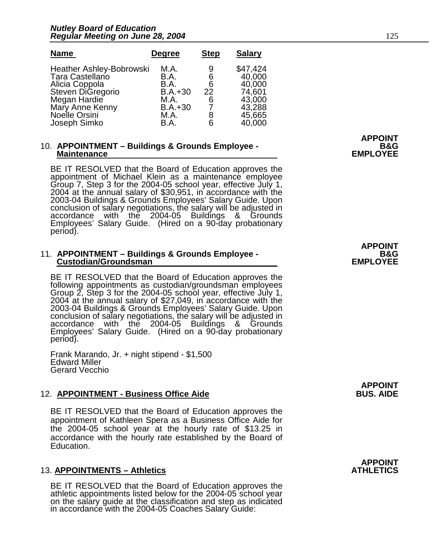| <b>Name</b>                                                                                                                                   | <b>Degree</b>                                                  | <b>Step</b>                 | <b>Salary</b>                                                        |
|-----------------------------------------------------------------------------------------------------------------------------------------------|----------------------------------------------------------------|-----------------------------|----------------------------------------------------------------------|
| <b>Heather Ashley-Bobrowski</b><br>Tara Castellano<br>Alicia Coppola<br>Steven DiGregorio<br>Megan Hardie<br>Mary Anne Kenny<br>Noelle Orsini | M.A.<br>B.A.<br>B.A.<br>$B.A.+30$<br>M.A.<br>$B.A.+30$<br>M.A. | 9<br>6<br>6<br>22<br>6<br>8 | \$47,424<br>40,000<br>40,000<br>74,601<br>43,000<br>43,288<br>45,665 |
| Joseph Simko                                                                                                                                  | B.A.                                                           | 6                           | 40,000                                                               |

### 10. APPOINTMENT – Buildings & Grounds Employee - **BAG EMPLOYEE**<br>EMPLOYEE

BE IT RESOLVED that the Board of Education approves the appointment of Michael Klein as a maintenance employee Group 7, Step 3 for the 2004-05 school year, effective July 1, 2004 at the annual salary of \$30,951, in accordance with the 2003-04 Buildings & Grounds Employees' Salary Guide. Upon conclusion of salary negotiations, the salary will be adjusted in accordance with the 2004-05 Buildings & Grounds Employees' Salary Guide. (Hired on a 90-day probationary period).

### 11. **APPOINTMENT – Buildings & Grounds Employee - B&G Custodian/Groundsman EMPLOYEE**

BE IT RESOLVED that the Board of Education approves the following appointments as custodian/groundsman employees Group 2, Step 3 for the 2004-05 school year, effective July 1, 2004 at the annual salary of \$27,049, in accordance with the 2003-04 Buildings & Grounds Employees' Salary Guide. Upon conclusion of salary negotiations, the salary will be adjusted in accordance with the 2004-05 Buildings & Grounds Employees' Salary Guide. (Hired on a 90-day probationary period).

Frank Marando, Jr. + night stipend - \$1,500 Edward Miller Gerard Vecchio

#### **12. APPOINTMENT - Business Office Aide**

BE IT RESOLVED that the Board of Education approves the appointment of Kathleen Spera as a Business Office Aide for the 2004-05 school year at the hourly rate of \$13.25 in accordance with the hourly rate established by the Board of Education.

#### 13. **APPOINTMENTS – Athletics**

BE IT RESOLVED that the Board of Education approves the athletic appointments listed below for the 2004-05 school year on the salary guide at the classification and step as indicated in accordance with the 2004-05 Coaches Salary Guide:

**APPOINT**

**APPOINT**

**APPOINT**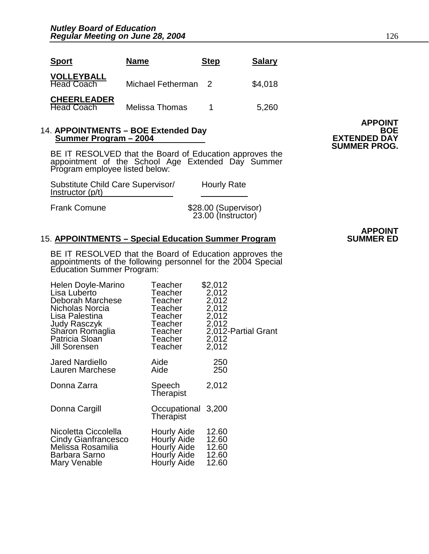| <b>Sport</b>                            | <b>Name</b>         | <b>Step</b> | <b>Salary</b> |
|-----------------------------------------|---------------------|-------------|---------------|
| <b>VOLLEYBALL</b><br><b>Head Coach</b>  | Michael Fetherman 2 |             | \$4,018       |
| <b>CHEERLEADER</b><br><b>Head Coach</b> | Melissa Thomas      | 1           | 5,260         |

#### 14. APPOINTMENTS – BOE Extended Day **BOE Summer Program – 2004 EXTENDED DAY**

BE IT RESOLVED that the Board of Education approves the appointment of the School Age Extended Day Summer Program employee listed below:

| Substitute Child Care Supervisor/<br>Instructor (p/t) | <b>Hourly Rate</b>   |
|-------------------------------------------------------|----------------------|
| Frank Comune                                          | \$28.00 (Supervisor) |

23.00 (Instructor)

#### **15. APPOINTMENTS - Special Education Summer Program**

BE IT RESOLVED that the Board of Education approves the appointments of the following personnel for the 2004 Special Education Summer Program:

| Helen Doyle-Marino     | Teacher                         | \$2,012             |
|------------------------|---------------------------------|---------------------|
| Lisa Luberto           | Teacher                         | 2,012               |
| Deborah Marchese       | Teacher                         | 2,012               |
| Nicholas Norcia        | Teacher                         | 2,012               |
| Lisa Palestina         | Teacher                         | 2,012               |
| <b>Judy Rasczyk</b>    | Teacher                         | 2,012               |
| Sharon Romaglia        | Teacher                         | 2,012-Partial Grant |
| Patricia Sloan         | Teacher                         | 2,012               |
| Jill Sorensen          | Teacher                         | 2,012               |
| <b>Jared Nardiello</b> | Aide                            | 250                 |
| Lauren Marchese        | Aide                            | 250                 |
| Donna Zarra            | Speech<br>Therapist             | 2,012               |
| Donna Cargill          | Occupational 3,200<br>Therapist |                     |
| Nicoletta Ciccolella   | Hourly Aide                     | 12.60               |
| Cindy Gianfrancesco    | Hourly Aide                     | 12.60               |
| Melissa Rosamilia      | <b>Hourly Aide</b>              | 12.60               |
| Barbara Sarno          | Hourly Aide                     | 12.60               |
| Mary Venable           | Hourly Aide                     | 12.60               |

**APPOINT SUMMER PROG.** 

## **APPOINT**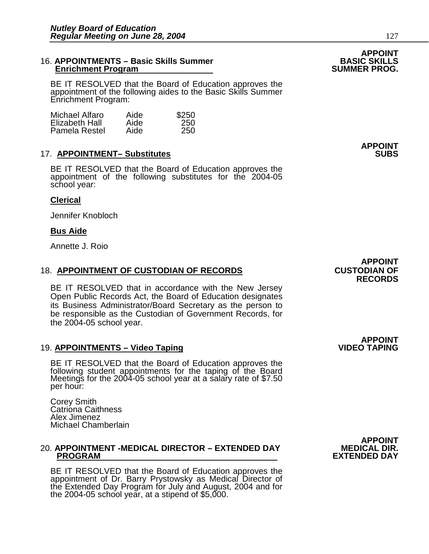#### 16. **APPOINTMENTS – Basic Skills Summer BASIC SKILLS Enrichment Program**

BE IT RESOLVED that the Board of Education approves the appointment of the following aides to the Basic Skills Summer Enrichment Program:

| Michael Alfaro | Aide | \$250 |
|----------------|------|-------|
| Elizabeth Hall | Aide | 250   |
| Pamela Restel  | Aide | 250   |

#### **17. APPOINTMENT- Substitutes**

BE IT RESOLVED that the Board of Education approves the appointment of the following substitutes for the 2004-05 school year:

#### **Clerical**

Jennifer Knobloch

#### **Bus Aide**

Annette J. Roio

#### **18. APPOINTMENT OF CUSTODIAN OF RECORDS**

BE IT RESOLVED that in accordance with the New Jersey Open Public Records Act, the Board of Education designates its Business Administrator/Board Secretary as the person to be responsible as the Custodian of Government Records, for the 2004-05 school year.

#### 19. **APPOINTMENTS – Video Taping**

BE IT RESOLVED that the Board of Education approves the following student appointments for the taping of the Board Meetings for the 2004-05 school year at a salary rate of \$7.50 per hour:

Corey Smith Catriona Caithness Alex Jimenez Michael Chamberlain

### 20. APPOINTMENT -MEDICAL DIRECTOR – EXTENDED DAY<br>PROGRAM

BE IT RESOLVED that the Board of Education approves the appointment of Dr. Barry Prystowsky as Medical Director of the Extended Day Program for July and August, 2004 and for the 2004-05 school year, at a stipend of \$5,000.

**APPOINT<br>.MEDICAL DIR EXTENDED DAY** 

**APPOINT<br>CUSTODIAN OF RECORDS** 

**APPOINT<br>VIDEO TAPING** 

**APPOINT<br>BASIC SKILLS** 

**APPOINT**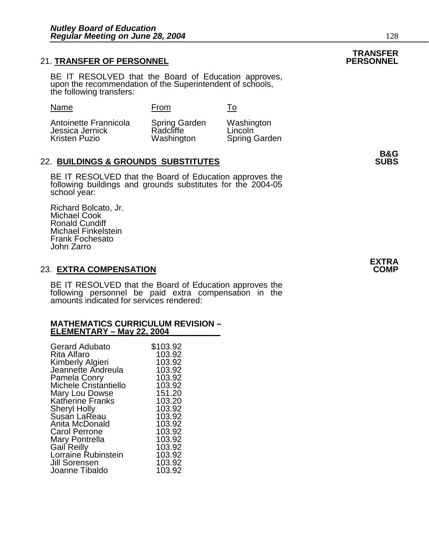#### **21. TRANSFER OF PERSONNEL**

BE IT RESOLVED that the Board of Education approves, upon the recommendation of the Superintendent of schools, the following transfers:

Name From To

Antoinette Frannicola Spring Garden Washington Antoinette Frannicola Spring Garden<br>Jessica Jernick Radcliffe<br>Kristen Puzio Washington

Spring Garden

#### 22. **BUILDINGS & GROUNDS SUBSTITUTES SUBS**

BE IT RESOLVED that the Board of Education approves the following buildings and grounds substitutes for the 2004-05 school year:

Richard Bolcato, Jr. Michael Cook Ronald Cundiff Michael Finkelstein Frank Fochesato John Zarro

#### **23. EXTRA COMPENSATION**

BE IT RESOLVED that the Board of Education approves the following personnel be paid extra compensation in the amounts indicated for services rendered:

#### **MATHEMATICS CURRICULUM REVISION – ELEMENTARY – May 22, 2004**

| <b>Gerard Adubato</b>   | \$103.92 |
|-------------------------|----------|
| Rita Alfaro             | 103.92   |
| Kimberly Algieri        | 103.92   |
| Jeannette Andreula      | 103.92   |
| Pamela Conry            | 103.92   |
| Michele Cristantiello   | 103.92   |
| Mary Lou Dowse          | 151.20   |
| <b>Katherine Franks</b> | 103.20   |
| <b>Sheryl Holly</b>     | 103.92   |
| Susan LaReau            | 103.92   |
| Anita McDonald          | 103.92   |
| Carol Perrone           | 103.92   |
| Mary Pontrella          | 103.92   |
| Gail Reilly             | 103.92   |
| Lorraine Rubinstein     | 103.92   |
| <b>Jill Sorensen</b>    | 103.92   |
| Joanne Tibaldo          | 103.92   |

**B&G**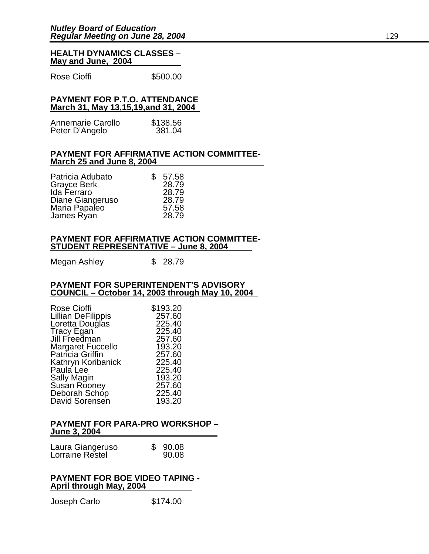#### **HEALTH DYNAMICS CLASSES – May and June, 2004**

Rose Cioffi **\$500.00** 

#### **PAYMENT FOR P.T.O. ATTENDANCE March 31, May 13,15,19,and 31, 2004**

| Annemarie Carollo | \$138.56 |
|-------------------|----------|
| Peter D'Angelo    | 381.04   |

#### **PAYMENT FOR AFFIRMATIVE ACTION COMMITTEE-March 25 and June 8, 2004**

| Patricia Adubato | \$<br>57.58 |
|------------------|-------------|
| Grayce Berk      | 28.79       |
| Ida Ferraro      | 28.79       |
| Diane Giangeruso | 28.79       |
| Maria Papaleo    | 57.58       |
| James Ryan       | 28.79       |

#### **PAYMENT FOR AFFIRMATIVE ACTION COMMITTEE-STUDENT REPRESENTATIVE – June 8, 2004**

Megan Ashley  $$ 28.79$ 

#### **PAYMENT FOR SUPERINTENDENT'S ADVISORY COUNCIL – October 14, 2003 through May 10, 2004**

| <b>Rose Cioffi</b> | \$193.20 |
|--------------------|----------|
| Lillian DeFilippis | 257.60   |
| Loretta Douglas    | 225.40   |
| Tracy Egan         | 225.40   |
| Jill Freedman      | 257.60   |
| Margaret Fuccello  | 193.20   |
| Patricia Griffin   | 257.60   |
| Kathryn Koribanick | 225.40   |
| Paula Lee          | 225.40   |
| Sally Magin        | 193.20   |
| Susan Rooney       | 257.60   |
| Deborah Schop      | 225.40   |
| David Sorensen     | 193.20   |
|                    |          |

#### **PAYMENT FOR PARA-PRO WORKSHOP – June 3, 2004**

| Laura Giangeruso | \$90.08 |  |
|------------------|---------|--|
| Lorraine Restel  | 90.08   |  |

#### **PAYMENT FOR BOE VIDEO TAPING - April through May, 2004**

Joseph Carlo \$174.00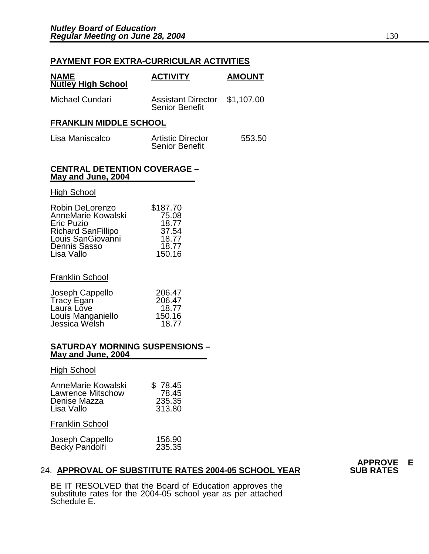#### **PAYMENT FOR EXTRA-CURRICULAR ACTIVITIES**

| <b>NAME</b><br><b>Nutley High School</b> | <b>ACTIVITY</b>                                        | <b>AMOUNT</b> |
|------------------------------------------|--------------------------------------------------------|---------------|
| Michael Cundari                          | Assistant Director \$1,107.00<br><b>Senior Benefit</b> |               |
| <b>FRANKLIN MIDDLE SCHOOL</b>            |                                                        |               |

| Lisa Maniscalco | <b>Artistic Director</b> | 553.50 |
|-----------------|--------------------------|--------|
|                 | <b>Senior Benefit</b>    |        |

#### **CENTRAL DETENTION COVERAGE – May and June, 2004**

#### **High School**

| Robin DeLorenzo           | \$187.70 |
|---------------------------|----------|
| AnneMarie Kowalski        | 75.08    |
| <b>Eric Puzio</b>         | 18.77    |
| <b>Richard SanFillipo</b> | 37.54    |
| Louis SanGiovanni         | 18.77    |
| <b>Dennis Sasso</b>       | 18.77    |
| Lisa Vallo                | 150.16   |

#### Franklin School

| Joseph Cappello   | 206.47 |
|-------------------|--------|
| Tracy Egan        | 206.47 |
| Laura Love        | 18.77  |
| Louis Manganiello | 150.16 |
| Jessica Welsh     | 18.77  |

#### **SATURDAY MORNING SUSPENSIONS – May and June, 2004**

#### High School

| AnneMarie Kowalski<br><b>Lawrence Mitschow</b><br>Denise Mazza<br>Lisa Vallo | \$78.45<br>78.45<br>235.35<br>313.80 |
|------------------------------------------------------------------------------|--------------------------------------|
| <b>Franklin School</b>                                                       |                                      |
| Joseph Cappello<br>Becky Pandolfi                                            | 156.90<br>235.35                     |

### 24. **APPROVAL OF SUBSTITUTE RATES 2004-05 SCHOOL YEAR**

BE IT RESOLVED that the Board of Education approves the substitute rates for the 2004-05 school year as per attached Schedule E.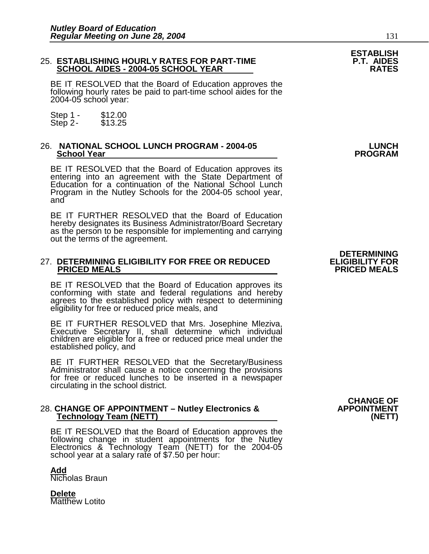#### 25. **ESTABLISHING HOURLY RATES FOR PART-TIME P.T. AIDES SCHOOL AIDES - 2004-05 SCHOOL YEAR**

BE IT RESOLVED that the Board of Education approves the following hourly rates be paid to part-time school aides for the 2004-05 school year:

Step 1 - \$12.00<br>Step 2 - \$13.25 Step  $2-$ 

#### 26. **NATIONAL SCHOOL LUNCH PROGRAM - 2004-05 LUNCH School Year**

BE IT RESOLVED that the Board of Education approves its entering into an agreement with the State Department of Education for a continuation of the National School Lunch Program in the Nutley Schools for the 2004-05 school year, and

BE IT FURTHER RESOLVED that the Board of Education hereby designates its Business Administrator/Board Secretary as the person to be responsible for implementing and carrying out the terms of the agreement.

#### 27. **DETERMINING ELIGIBILITY FOR FREE OR REDUCED ELIGIBILITY FOR PRICED MEALS**

BE IT RESOLVED that the Board of Education approves its conforming with state and federal regulations and hereby agrees to the established policy with respect to determining eligibility for free or reduced price meals, and

BE IT FURTHER RESOLVED that Mrs. Josephine Mleziva, Executive Secretary II, shall determine which individual children are eligible for a free or reduced price meal under the established policy, and

BE IT FURTHER RESOLVED that the Secretary/Business Administrator shall cause a notice concerning the provisions for free or reduced lunches to be inserted in a newspaper circulating in the school district.

#### 28. **CHANGE OF APPOINTMENT – Nutley Electronics & APPOINTMENT Technology Team (NETT) (NETT)**

BE IT RESOLVED that the Board of Education approves the following change in student appointments for the Nutley Electronics & Technology Team (NETT) for the 2004-05 school year at a salary rate of \$7.50 per hour:

**Add** Nicholas Braun

**Delete** Matthew Lotito

**CHANGE OF**

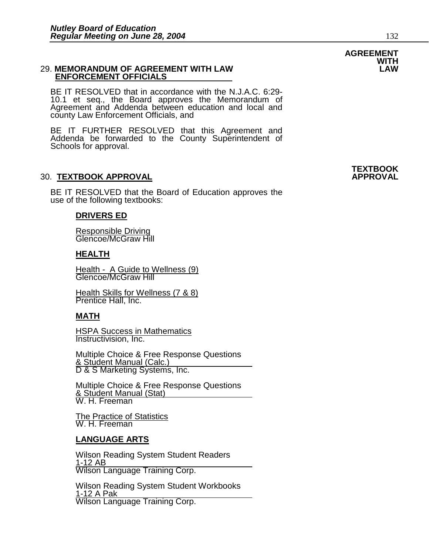#### 29. **MEMORANDUM OF AGREEMENT WITH LAW LAW ENFORCEMENT OFFICIALS**

BE IT RESOLVED that in accordance with the N.J.A.C. 6:29- 10.1 et seq., the Board approves the Memorandum of Agreement and Addenda between education and local and county Law Enforcement Officials, and

BE IT FURTHER RESOLVED that this Agreement and Addenda be forwarded to the County Superintendent of Schools for approval.

#### 30. **TEXTBOOK APPROVAL APPROVAL**

BE IT RESOLVED that the Board of Education approves the use of the following textbooks:

#### **DRIVERS ED**

 Responsible Driving Glencoe/McGraw Hill

#### **HEALTH**

Health - A Guide to Wellness (9)<br>Glencoe/McGraw Hill

 Health Skills for Wellness (7 & 8) **Prentice Hall, Inc.** 

#### **MATH**

 HSPA Success in Mathematics Instructivision, Inc.

 Multiple Choice & Free Response Questions 8 Student Manual (Calc.) D & S Marketing Systems, Inc.

 Multiple Choice & Free Response Questions <u>& Student Manual (Stat)</u><br>W. H. Freeman

 The Practice of Statistics W. H. Freeman

#### **LANGUAGE ARTS**

 Wilson Reading System Student Readers 1-12 AB Wilson Language Training Corp.

 Wilson Reading System Student Workbooks 1-12 A Pak Wilson Language Training Corp.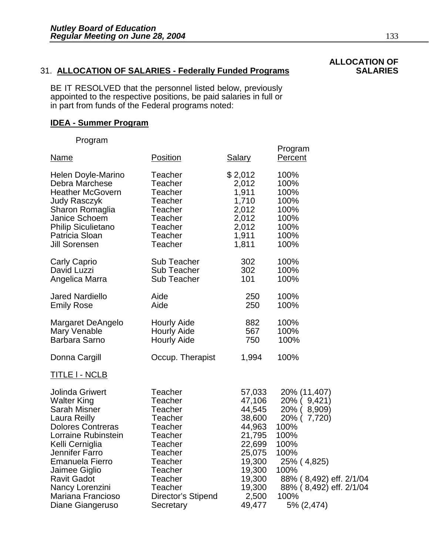### 31. **ALLOCATION OF SALARIES - Federally Funded Programs**

BE IT RESOLVED that the personnel listed below, previously appointed to the respective positions, be paid salaries in full or in part from funds of the Federal programs noted:

#### **IDEA - Summer Program**

Program

| Name                                                                                                                                                                                                                                                                                                     | Position                                                                                                                                                            | <b>Salary</b>                                                                                                                           | Program<br>Percent                                                                                                                                                                                     |
|----------------------------------------------------------------------------------------------------------------------------------------------------------------------------------------------------------------------------------------------------------------------------------------------------------|---------------------------------------------------------------------------------------------------------------------------------------------------------------------|-----------------------------------------------------------------------------------------------------------------------------------------|--------------------------------------------------------------------------------------------------------------------------------------------------------------------------------------------------------|
| Helen Doyle-Marino                                                                                                                                                                                                                                                                                       | Teacher                                                                                                                                                             | \$2,012                                                                                                                                 | 100%                                                                                                                                                                                                   |
| Debra Marchese                                                                                                                                                                                                                                                                                           | Teacher                                                                                                                                                             | 2,012                                                                                                                                   | 100%                                                                                                                                                                                                   |
| <b>Heather McGovern</b>                                                                                                                                                                                                                                                                                  | Teacher                                                                                                                                                             | 1,911                                                                                                                                   | 100%                                                                                                                                                                                                   |
| <b>Judy Rasczyk</b>                                                                                                                                                                                                                                                                                      | Teacher                                                                                                                                                             | 1,710                                                                                                                                   | 100%                                                                                                                                                                                                   |
| Sharon Romaglia                                                                                                                                                                                                                                                                                          | Teacher                                                                                                                                                             | 2,012                                                                                                                                   | 100%                                                                                                                                                                                                   |
| Janice Schoem                                                                                                                                                                                                                                                                                            | Teacher                                                                                                                                                             | 2,012                                                                                                                                   | 100%                                                                                                                                                                                                   |
| <b>Philip Siculietano</b>                                                                                                                                                                                                                                                                                | <b>Teacher</b>                                                                                                                                                      | 2,012                                                                                                                                   | 100%                                                                                                                                                                                                   |
| Patricia Sloan                                                                                                                                                                                                                                                                                           | Teacher                                                                                                                                                             | 1,911                                                                                                                                   | 100%                                                                                                                                                                                                   |
| <b>Jill Sorensen</b>                                                                                                                                                                                                                                                                                     | Teacher                                                                                                                                                             | 1,811                                                                                                                                   | 100%                                                                                                                                                                                                   |
| <b>Carly Caprio</b>                                                                                                                                                                                                                                                                                      | <b>Sub Teacher</b>                                                                                                                                                  | 302                                                                                                                                     | 100%                                                                                                                                                                                                   |
| David Luzzi                                                                                                                                                                                                                                                                                              | Sub Teacher                                                                                                                                                         | 302                                                                                                                                     | 100%                                                                                                                                                                                                   |
| Angelica Marra                                                                                                                                                                                                                                                                                           | <b>Sub Teacher</b>                                                                                                                                                  | 101                                                                                                                                     | 100%                                                                                                                                                                                                   |
| <b>Jared Nardiello</b>                                                                                                                                                                                                                                                                                   | Aide                                                                                                                                                                | 250                                                                                                                                     | 100%                                                                                                                                                                                                   |
| <b>Emily Rose</b>                                                                                                                                                                                                                                                                                        | Aide                                                                                                                                                                | 250                                                                                                                                     | 100%                                                                                                                                                                                                   |
| Margaret DeAngelo                                                                                                                                                                                                                                                                                        | <b>Hourly Aide</b>                                                                                                                                                  | 882                                                                                                                                     | 100%                                                                                                                                                                                                   |
| Mary Venable                                                                                                                                                                                                                                                                                             | <b>Hourly Aide</b>                                                                                                                                                  | 567                                                                                                                                     | 100%                                                                                                                                                                                                   |
| <b>Barbara Sarno</b>                                                                                                                                                                                                                                                                                     | <b>Hourly Aide</b>                                                                                                                                                  | 750                                                                                                                                     | 100%                                                                                                                                                                                                   |
| Donna Cargill                                                                                                                                                                                                                                                                                            | Occup. Therapist                                                                                                                                                    | 1,994                                                                                                                                   | 100%                                                                                                                                                                                                   |
| <u>TITLE I - NCLB</u>                                                                                                                                                                                                                                                                                    |                                                                                                                                                                     |                                                                                                                                         |                                                                                                                                                                                                        |
| <b>Jolinda Griwert</b><br><b>Walter King</b><br><b>Sarah Misner</b><br>Laura Reilly<br><b>Dolores Contreras</b><br>Lorraine Rubinstein<br>Kelli Cerniglia<br>Jennifer Farro<br><b>Emanuela Fierro</b><br>Jaimee Giglio<br><b>Ravit Gadot</b><br>Nancy Lorenzini<br>Mariana Francioso<br>Diane Giangeruso | Teacher<br>Teacher<br>Teacher<br>Teacher<br>Teacher<br>Teacher<br>Teacher<br>Teacher<br>Teacher<br>Teacher<br>Teacher<br>Teacher<br>Director's Stipend<br>Secretary | 57,033<br>47,106<br>44,545<br>38,600<br>44,963<br>21,795<br>22,699<br>25,075<br>19,300<br>19,300<br>19,300<br>19,300<br>2,500<br>49,477 | 20% (11,407)<br>20% (<br>9,421)<br>$20%$ (<br>8,909)<br>20% (7,720)<br>100%<br>100%<br>100%<br>100%<br>25% (4,825)<br>100%<br>88% (8,492) eff. 2/1/04<br>88% (8,492) eff. 2/1/04<br>100%<br>5% (2,474) |

## **ALLOCATION OF**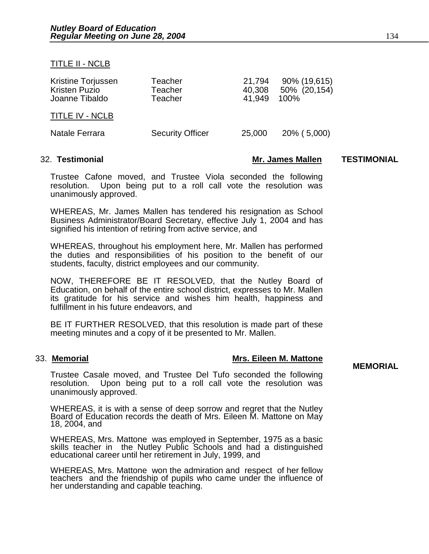#### TITLE II - NCLB

| Kristine Torjussen<br><b>Kristen Puzio</b><br>Joanne Tibaldo | Teacher<br>Teacher<br>Teacher | 21,794<br>40,308<br>41.949 | 90% (19,615)<br>50% (20,154)<br>100% |
|--------------------------------------------------------------|-------------------------------|----------------------------|--------------------------------------|
| <b>TITLE IV - NCLB</b>                                       |                               |                            |                                      |
| Natale Ferrara                                               | <b>Security Officer</b>       | 25,000                     | 20% (5,000)                          |

#### 32. **Testimonial Mr. James Mallen TESTIMONIAL**

Trustee Cafone moved, and Trustee Viola seconded the following resolution. Upon being put to a roll call vote the resolution was unanimously approved.

WHEREAS, Mr. James Mallen has tendered his resignation as School Business Administrator/Board Secretary, effective July 1, 2004 and has signified his intention of retiring from active service, and

WHEREAS, throughout his employment here, Mr. Mallen has performed the duties and responsibilities of his position to the benefit of our students, faculty, district employees and our community.

NOW, THEREFORE BE IT RESOLVED, that the Nutley Board of Education, on behalf of the entire school district, expresses to Mr. Mallen its gratitude for his service and wishes him health, happiness and fulfillment in his future endeavors, and

BE IT FURTHER RESOLVED, that this resolution is made part of these meeting minutes and a copy of it be presented to Mr. Mallen.

#### 33. **Memorial Mrs. Eileen M. Mattone**

**MEMORIAL** 

Trustee Casale moved, and Trustee Del Tufo seconded the following resolution. Upon being put to a roll call vote the resolution was unanimously approved.

WHEREAS, it is with a sense of deep sorrow and regret that the Nutley Board of Education records the death of Mrs. Eileen M. Mattone on May 18, 2004, and

WHEREAS, Mrs. Mattone was employed in September, 1975 as a basic skills teacher in the Nutley Public Schools and had a distinguished educational career until her retirement in July, 1999, and

WHEREAS, Mrs. Mattone won the admiration and respect of her fellow teachers and the friendship of pupils who came under the influence of her understanding and capable teaching.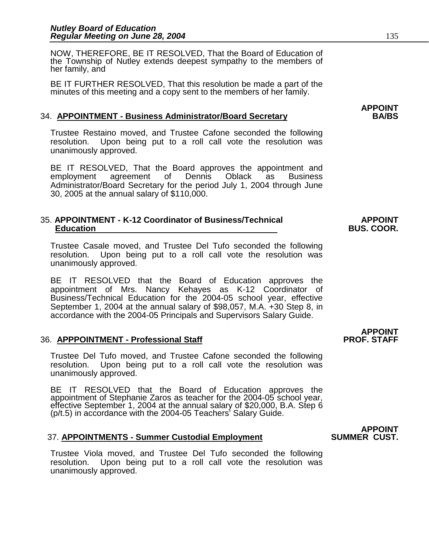NOW, THEREFORE, BE IT RESOLVED, That the Board of Education of the Township of Nutley extends deepest sympathy to the members of her family, and

BE IT FURTHER RESOLVED, That this resolution be made a part of the minutes of this meeting and a copy sent to the members of her family.

#### 34. **APPOINTMENT - Business Administrator/Board Secretary BA/BS**

Trustee Restaino moved, and Trustee Cafone seconded the following resolution. Upon being put to a roll call vote the resolution was unanimously approved.

BE IT RESOLVED, That the Board approves the appointment and employment agreement of Dennis Oblack as Business Administrator/Board Secretary for the period July 1, 2004 through June 30, 2005 at the annual salary of \$110,000.

#### 35. **APPOINTMENT - K-12 Coordinator of Business/Technical APPOINT Education BUS. COOR.**

Trustee Casale moved, and Trustee Del Tufo seconded the following resolution. Upon being put to a roll call vote the resolution was unanimously approved.

BE IT RESOLVED that the Board of Education approves the appointment of Mrs. Nancy Kehayes as K-12 Coordinator of Business/Technical Education for the 2004-05 school year, effective September 1, 2004 at the annual salary of \$98,057, M.A. +30 Step 8, in accordance with the 2004-05 Principals and Supervisors Salary Guide.

#### **36. APPPOINTMENT - Professional Staff**

Trustee Del Tufo moved, and Trustee Cafone seconded the following resolution. Upon being put to a roll call vote the resolution was unanimously approved.

BE IT RESOLVED that the Board of Education approves the appointment of Stephanie Zaros as teacher for the 2004-05 school year, effective September 1, 2004 at the annual salary of \$20,000, B.A. Step 6 (p/t.5) in accordance with the 2004-05 Teachers' Salary Guide.

#### **APPOINT**  37. **APPOINTMENTS - Summer Custodial Employment SUMMER CUST.**

Trustee Viola moved, and Trustee Del Tufo seconded the following resolution. Upon being put to a roll call vote the resolution was unanimously approved.

**APPOINT<br>PROF. STAFF**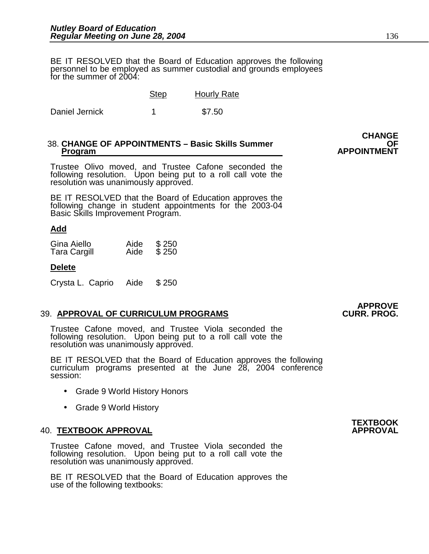BE IT RESOLVED that the Board of Education approves the following personnel to be employed as summer custodial and grounds employees for the summer of 2004:

|                | <b>Step</b> | <b>Hourly Rate</b> |
|----------------|-------------|--------------------|
| Daniel Jernick |             | \$7.50             |

## **38. CHANGE OF APPOINTMENTS – Basic Skills Summer Program**

Trustee Olivo moved, and Trustee Cafone seconded the following resolution. Upon being put to a roll call vote the resolution was unanimously approved.

BE IT RESOLVED that the Board of Education approves the following change in student appointments for the 2003-04 Basic Skills Improvement Program.

#### **Add**

| Gina Aiello         | Aide | \$250 |
|---------------------|------|-------|
| <b>Tara Cargill</b> | Aide | \$250 |

#### **Delete**

Crysta L. Caprio Aide \$ 250

#### **39. APPROVAL OF CURRICULUM PROGRAMS**

Trustee Cafone moved, and Trustee Viola seconded the following resolution. Upon being put to a roll call vote the resolution was unanimously approved.

BE IT RESOLVED that the Board of Education approves the following curriculum programs presented at the June 28, 2004 conference session:

- Grade 9 World History Honors
- Grade 9 World History

#### **40. TEXTBOOK APPROVAL**

Trustee Cafone moved, and Trustee Viola seconded the following resolution. Upon being put to a roll call vote the resolution was unanimously approved.

BE IT RESOLVED that the Board of Education approves the use of the following textbooks:

# **APPROVE**

### **CHANGE APPOINTMENT**

**TEXTBOOK**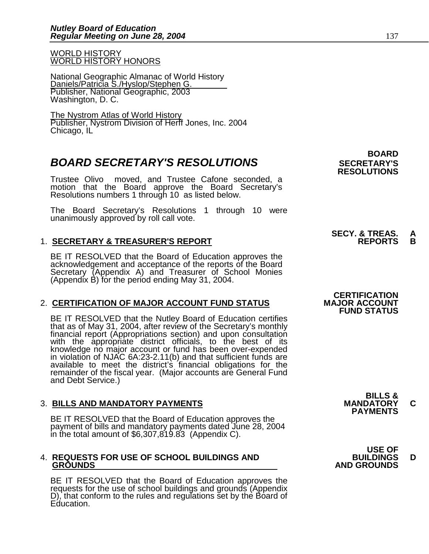WORLD HISTORY WORLD HISTORY HONORS

National Geographic Almanac of World History Daniels/Patricia S./Hyslop/Stephen G. Publisher, National Geographic, 2003 Washington, D. C.

The Nystrom Atlas of World History Publisher, Nystrom Division of Herff Jones, Inc. 2004 Chicago, IL

### **BOARD SECRETARY'S RESOLUTIONS** SECRETARY'S

Trustee Olivo moved, and Trustee Cafone seconded, a motion that the Board approve the Board Secretary's Resolutions numbers 1 through 10 as listed below.

The Board Secretary's Resolutions 1 through 10 were unanimously approved by roll call vote.

### 1. **SECRETARY & TREASURER'S REPORT**

 BE IT RESOLVED that the Board of Education approves the acknowledgement and acceptance of the reports of the Board Secretary (Appendix A) and Treasurer of School Monies (Appendix B) for the period ending May 31, 2004.

### 2. **CERTIFICATION OF MAJOR ACCOUNT FUND STATUS**

BE IT RESOLVED that the Nutley Board of Education certifies that as of May 31, 2004, after review of the Secretary's monthly financial report (Appropriations section) and upon consultation with the appropriate district officials, to the best of its knowledge no major account or fund has been over-expended in violation of NJAC 6A:23-2.11(b) and that sufficient funds are available to meet the district's financial obligations for the remainder of the fiscal year. (Major accounts are General Fund and Debt Service.)

### 3. **BILLS AND MANDATORY PAYMENTS MANDATORY C PAYMENTS**

BE IT RESOLVED that the Board of Education approves the payment of bills and mandatory payments dated June 28, 2004 in the total amount of \$6,307,819.83 (Appendix C).

## 4. **REQUESTS FOR USE OF SCHOOL BUILDINGS AND BUILDINGS D**

BE IT RESOLVED that the Board of Education approves the requests for the use of school buildings and grounds (Appendix D), that conform to the rules and regulations set by the Board of Education.

 **BOARD RESOLUTIONS** 

# **SECY. & TREAS. A**

### **CERTIFICATION FUND STATUS**

**BILLS &** 

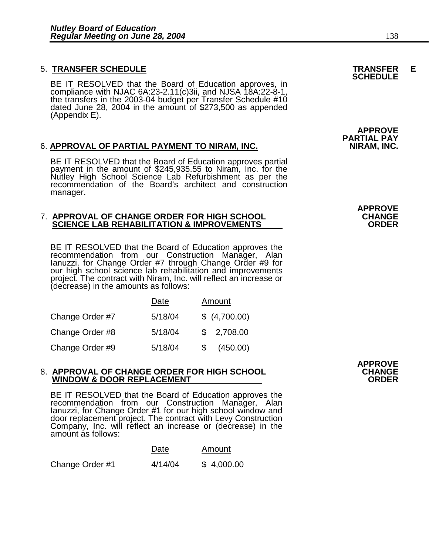### 5. **TRANSFER SCHEDULE TRANSFER E SCHEDULE**

BE IT RESOLVED that the Board of Education approves, in compliance with NJAC 6A:23-2.11(c)3ii, and NJSA 18A:22-8-1, the transfers in the 2003-04 budget per Transfer Schedule #10 dated June 28, 2004 in the amount of \$273,500 as appended (Appendix E).

#### 6. **APPROVAL OF PARTIAL PAYMENT TO NIRAM, INC.**

BE IT RESOLVED that the Board of Education approves partial payment in the amount of \$245,935.55 to Niram, Inc. for the Nutley High School Science Lab Refurbishment as per the recommendation of the Board's architect and construction manager.

#### 7. **APPROVAL OF CHANGE ORDER FOR HIGH SCHOOL CHANGE SCIENCE LAB REHABILITATION & IMPROVEMENTS**

BE IT RESOLVED that the Board of Education approves the recommendation from our Construction Manager, Alan Ianuzzi, for Change Order #7 through Change Order #9 for our high school science lab rehabilitation and improvements project. The contract with Niram, Inc. will reflect an increase or (decrease) in the amounts as follows:

|                 | Date    |     | Amount        |
|-----------------|---------|-----|---------------|
| Change Order #7 | 5/18/04 |     | \$ (4,700.00) |
| Change Order #8 | 5/18/04 |     | \$2,708.00    |
| Change Order #9 | 5/18/04 | \$. | (450.00)      |

#### 8. **APPROVAL OF CHANGE ORDER FOR HIGH SCHOOL CHANGE WINDOW & DOOR REPLACEMENT**

BE IT RESOLVED that the Board of Education approves the recommendation from our Construction Manager, Alan Ianuzzi, for Change Order #1 for our high school window and door replacement project. The contract with Levy Construction Company, Inc. will reflect an increase or (decrease) in the amount as follows:

|                 | Date    | Amount     |
|-----------------|---------|------------|
| Change Order #1 | 4/14/04 | \$4,000.00 |

**APPROVE** 

**APPROVE PARTIAL PAY** 

**APPROVE**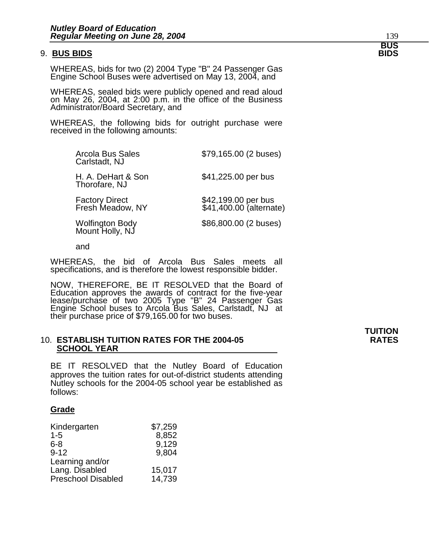#### 9. **BUS BIDS BIDS**

WHEREAS, bids for two (2) 2004 Type "B" 24 Passenger Gas Engine School Buses were advertised on May 13, 2004, and

WHEREAS, sealed bids were publicly opened and read aloud on May 26, 2004, at 2:00 p.m. in the office of the Business Administrator/Board Secretary, and

WHEREAS, the following bids for outright purchase were received in the following amounts:

| \$79,165.00 (2 buses)                          |
|------------------------------------------------|
| \$41,225.00 per bus                            |
| \$42,199.00 per bus<br>\$41,400.00 (alternate) |
| \$86,800.00 (2 buses)                          |
|                                                |

and

WHEREAS, the bid of Arcola Bus Sales meets all specifications, and is therefore the lowest responsible bidder.

NOW, THEREFORE, BE IT RESOLVED that the Board of Education approves the awards of contract for the five-year lease/purchase of two 2005 Type "B" 24 Passenger Gas Engine School buses to Arcola Bus Sales, Carlstadt, NJ at their purchase price of \$79,165.00 for two buses.

#### 10. **ESTABLISH TUITION RATES FOR THE 2004-05 RATES SCHOOL YEAR**

BE IT RESOLVED that the Nutley Board of Education approves the tuition rates for out-of-district students attending Nutley schools for the 2004-05 school year be established as follows:

#### **Grade**

| Kindergarten              | \$7,259 |
|---------------------------|---------|
| $1 - 5$                   | 8,852   |
| $6 - 8$                   | 9,129   |
| $9 - 12$                  | 9,804   |
| Learning and/or           |         |
| Lang. Disabled            | 15,017  |
| <b>Preschool Disabled</b> | 14,739  |

## **TUITION**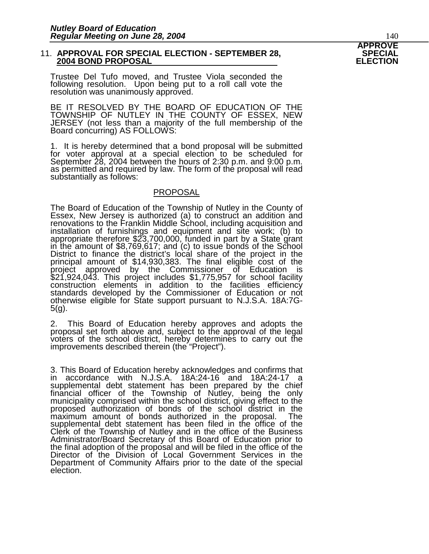#### 11. **APPROVAL FOR SPECIAL ELECTION - SEPTEMBER 28, SPECIAL 2004 BOND PROPOSAL**

Trustee Del Tufo moved, and Trustee Viola seconded the following resolution. Upon being put to a roll call vote the resolution was unanimously approved.

BE IT RESOLVED BY THE BOARD OF EDUCATION OF THE TOWNSHIP OF NUTLEY IN THE COUNTY OF ESSEX, NEW JERSEY (not less than a majority of the full membership of the Board concurring) AS FOLLOWS:

1. It is hereby determined that a bond proposal will be submitted for voter approval at a special election to be scheduled for September 28, 2004 between the hours of 2:30 p.m. and 9:00 p.m. as permitted and required by law. The form of the proposal will read substantially as follows:

#### **PROPOSAL**

The Board of Education of the Township of Nutley in the County of Essex, New Jersey is authorized (a) to construct an addition and renovations to the Franklin Middle School, including acquisition and installation of furnishings and equipment and site work; (b) to appropriate therefore \$23,700,000, funded in part by a State grant in the amount of \$8,769,617; and (c) to issue bonds of the School District to finance the district's local share of the project in the principal amount of \$14,930,383. The final eligible cost of the project approved by the Commissioner of Education is \$21,924,043. This project includes \$1,775,957 for school facility construction elements in addition to the facilities efficiency standards developed by the Commissioner of Education or not otherwise eligible for State support pursuant to N.J.S.A. 18A:7G-5(g).

2. This Board of Education hereby approves and adopts the proposal set forth above and, subject to the approval of the legal voters of the school district, hereby determines to carry out the improvements described therein (the "Project").

3. This Board of Education hereby acknowledges and confirms that in accordance with N.J.S.A. 18A:24-16 and 18A:24-17 a supplemental debt statement has been prepared by the chief financial officer of the Township of Nutley, being the only municipality comprised within the school district, giving effect to the proposed authorization of bonds of the school district in the maximum amount of bonds authorized in the proposal. The supplemental debt statement has been filed in the office of the Clerk of the Township of Nutley and in the office of the Business Administrator/Board Secretary of this Board of Education prior to the final adoption of the proposal and will be filed in the office of the Director of the Division of Local Government Services in the Department of Community Affairs prior to the date of the special election.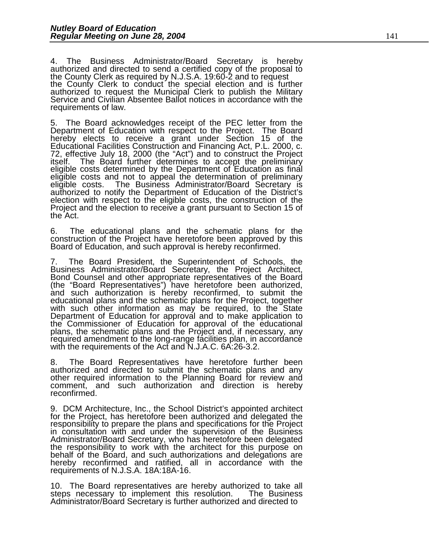4. The Business Administrator/Board Secretary is hereby authorized and directed to send a certified copy of the proposal to the County Clerk as required by N.J.S.A. 19:60-2 and to request the County Clerk to conduct the special election and is further authorized to request the Municipal Clerk to publish the Military Service and Civilian Absentee Ballot notices in accordance with the requirements of law.

The Board acknowledges receipt of the PEC letter from the Department of Education with respect to the Project. The Board hereby elects to receive a grant under Section 15 of the Educational Facilities Construction and Financing Act, P.L. 2000, c. 72, effective July 18, 2000 (the "Act") and to construct the Project itself. The Board further determines to accept the preliminary eligible costs determined by the Department of Education as final eligible costs and not to appeal the determination of preliminary eligible costs. The Business Administrator/Board Secretary is authorized to notify the Department of Education of the District's election with respect to the eligible costs, the construction of the Project and the election to receive a grant pursuant to Section 15 of the Act.

6. The educational plans and the schematic plans for the construction of the Project have heretofore been approved by this Board of Education, and such approval is hereby reconfirmed.

7. The Board President, the Superintendent of Schools, the Business Administrator/Board Secretary, the Project Architect, Bond Counsel and other appropriate representatives of the Board (the "Board Representatives") have heretofore been authorized, and such authorization is hereby reconfirmed, to submit the educational plans and the schematic plans for the Project, together with such other information as may be required, to the State Department of Education for approval and to make application to the Commissioner of Education for approval of the educational plans, the schematic plans and the Project and, if necessary, any required amendment to the long-range facilities plan, in accordance with the requirements of the Act and N.J.A.C. 6A:26-3.2.

8. The Board Representatives have heretofore further been authorized and directed to submit the schematic plans and any other required information to the Planning Board for review and comment, and such authorization and direction is hereby reconfirmed.

9. DCM Architecture, Inc., the School District's appointed architect for the Project, has heretofore been authorized and delegated the responsibility to prepare the plans and specifications for the Project in consultation with and under the supervision of the Business Administrator/Board Secretary, who has heretofore been delegated the responsibility to work with the architect for this purpose on behalf of the Board, and such authorizations and delegations are hereby reconfirmed and ratified, all in accordance with the requirements of N.J.S.A. 18A:18A-16.

10. The Board representatives are hereby authorized to take all steps necessary to implement this resolution. The Business Administrator/Board Secretary is further authorized and directed to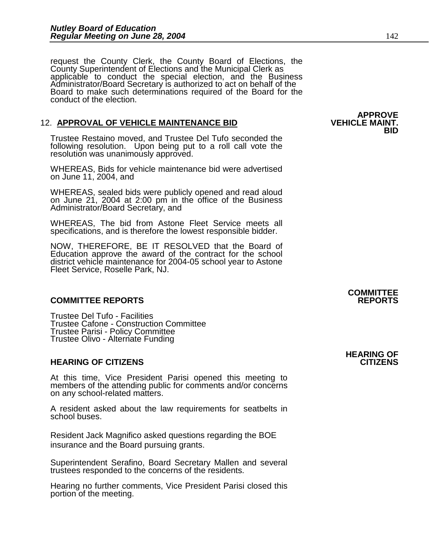request the County Clerk, the County Board of Elections, the County Superintendent of Elections and the Municipal Clerk as applicable to conduct the special election, and the Business Administrator/Board Secretary is authorized to act on behalf of the Board to make such determinations required of the Board for the conduct of the election.

#### 12. **APPROVAL OF VEHICLE MAINTENANCE BID**

Trustee Restaino moved, and Trustee Del Tufo seconded the following resolution. Upon being put to a roll call vote the resolution was unanimously approved.

WHEREAS, Bids for vehicle maintenance bid were advertised on June 11, 2004, and

WHEREAS, sealed bids were publicly opened and read aloud on June 21, 2004 at 2:00 pm in the office of the Business Administrator/Board Secretary, and

WHEREAS, The bid from Astone Fleet Service meets all specifications, and is therefore the lowest responsible bidder.

NOW, THEREFORE, BE IT RESOLVED that the Board of Education approve the award of the contract for the school district vehicle maintenance for 2004-05 school year to Astone Fleet Service, Roselle Park, NJ.

#### **COMMITTEE REPORTS REPORTS**

Trustee Del Tufo - Facilities Trustee Cafone - Construction Committee Trustee Parisi - Policy Committee Trustee Olivo - Alternate Funding

#### **HEARING OF CITIZENS CITIZENS**

At this time, Vice President Parisi opened this meeting to members of the attending public for comments and/or concerns on any school-related matters.

A resident asked about the law requirements for seatbelts in school buses.

Resident Jack Magnifico asked questions regarding the BOE insurance and the Board pursuing grants.

Superintendent Serafino, Board Secretary Mallen and several trustees responded to the concerns of the residents.

Hearing no further comments, Vice President Parisi closed this portion of the meeting.

### **COMMITTEE**

### **HEARING OF**

### **APPROVE**<br>**VEHICLE MAINT. BID**